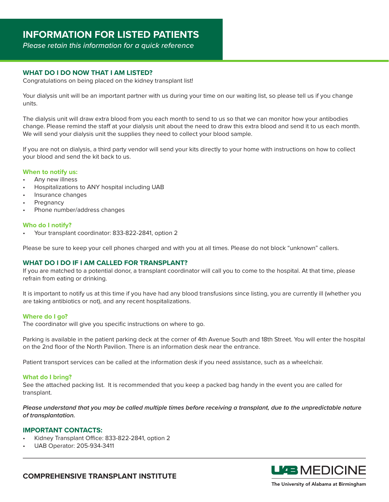*Please retain this information for a quick reference*

# **WHAT DO I DO NOW THAT I AM LISTED?**

Congratulations on being placed on the kidney transplant list!

Your dialysis unit will be an important partner with us during your time on our waiting list, so please tell us if you change units.

The dialysis unit will draw extra blood from you each month to send to us so that we can monitor how your antibodies change. Please remind the staff at your dialysis unit about the need to draw this extra blood and send it to us each month. We will send your dialysis unit the supplies they need to collect your blood sample.

If you are not on dialysis, a third party vendor will send your kits directly to your home with instructions on how to collect your blood and send the kit back to us.

#### **When to notify us:**

- Any new illness
- Hospitalizations to ANY hospital including UAB
- Insurance changes
- **Pregnancy**
- Phone number/address changes

#### **Who do I notify?**

• Your transplant coordinator: 833-822-2841, option 2

Please be sure to keep your cell phones charged and with you at all times. Please do not block "unknown" callers.

## **WHAT DO I DO IF I AM CALLED FOR TRANSPLANT?**

If you are matched to a potential donor, a transplant coordinator will call you to come to the hospital. At that time, please refrain from eating or drinking.

It is important to notify us at this time if you have had any blood transfusions since listing, you are currently ill (whether you are taking antibiotics or not), and any recent hospitalizations.

## **Where do I go?**

The coordinator will give you specific instructions on where to go.

Parking is available in the patient parking deck at the corner of 4th Avenue South and 18th Street. You will enter the hospital on the 2nd floor of the North Pavilion. There is an information desk near the entrance.

Patient transport services can be called at the information desk if you need assistance, such as a wheelchair.

#### **What do I bring?**

See the attached packing list. It is recommended that you keep a packed bag handy in the event you are called for transplant.

Please understand that you may be called multiple times before receiving a transplant, due to the unpredictable nature *of transplantation.*

#### **IMPORTANT CONTACTS:**

- Kidney Transplant Office: 833-822-2841, option 2
- UAB Operator: 205-934-3411



**COMPREHENSIVE TRANSPLANT INSTITUTE**